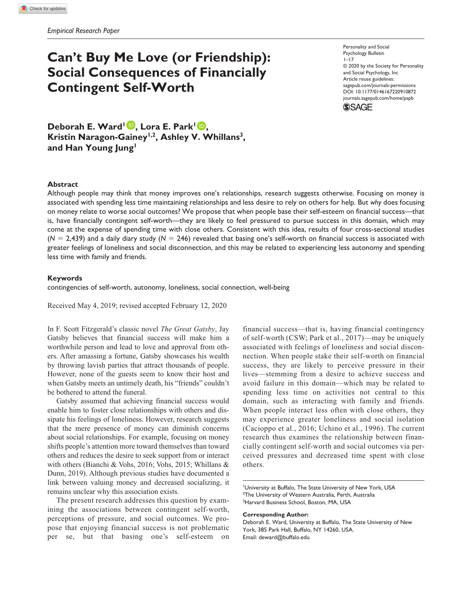# **Can't Buy Me Love (or Friendship): Social Consequences of Financially Contingent Self-Worth**

https://doi.org/10.1177/0146167220910872 DOI: 10.1177/0146167220910872 Personality and Social Psychology Bulletin  $1 - 17$ © 2020 by the Society for Personality and Social Psychology, Inc Article reuse guidelines: [sagepub.com/journals-permissions](https://us.sagepub.com/en-us/journals-permissions) [journals.sagepub.com/home/pspb](http://journals.sagepub.com/home/pspb)



**Deborah E. Ward<sup>1</sup> <b>D**, Lora E. Park<sup>1</sup> **D**, Kristin Naragon-Gainey<sup>1,2</sup>, Ashley V. Whillans<sup>3</sup>, **and Han Young Jung1**

#### **Abstract**

Although people may think that money improves one's relationships, research suggests otherwise. Focusing on money is associated with spending less time maintaining relationships and less desire to rely on others for help. But *why* does focusing on money relate to worse social outcomes? We propose that when people base their self-esteem on financial success—that is, have financially contingent self-worth—they are likely to feel pressured to pursue success in this domain, which may come at the expense of spending time with close others. Consistent with this idea, results of four cross-sectional studies (*N* = 2,439) and a daily diary study (*N* = 246) revealed that basing one's self-worth on financial success is associated with greater feelings of loneliness and social disconnection, and this may be related to experiencing less autonomy and spending less time with family and friends.

#### **Keywords**

contingencies of self-worth, autonomy, loneliness, social connection, well-being

Received May 4, 2019; revised accepted February 12, 2020

In F. Scott Fitzgerald's classic novel *The Great Gatsby*, Jay Gatsby believes that financial success will make him a worthwhile person and lead to love and approval from others. After amassing a fortune, Gatsby showcases his wealth by throwing lavish parties that attract thousands of people. However, none of the guests seem to know their host and when Gatsby meets an untimely death, his "friends" couldn't be bothered to attend the funeral.

Gatsby assumed that achieving financial success would enable him to foster close relationships with others and dissipate his feelings of loneliness. However, research suggests that the mere presence of money can diminish concerns about social relationships. For example, focusing on money shifts people's attention more toward themselves than toward others and reduces the desire to seek support from or interact with others (Bianchi & Vohs, 2016; Vohs, 2015; Whillans & Dunn, 2019). Although previous studies have documented a link between valuing money and decreased socializing, it remains unclear why this association exists.

The present research addresses this question by examining the associations between contingent self-worth, perceptions of pressure, and social outcomes. We propose that enjoying financial success is not problematic per se, but that basing one's self-esteem on

financial success—that is, having financial contingency of self-worth (CSW; Park et al., 2017)—may be uniquely associated with feelings of loneliness and social disconnection. When people stake their self-worth on financial success, they are likely to perceive pressure in their lives—stemming from a desire to achieve success and avoid failure in this domain—which may be related to spending less time on activities not central to this domain, such as interacting with family and friends. When people interact less often with close others, they may experience greater loneliness and social isolation (Cacioppo et al., 2016; Uchino et al., 1996). The current research thus examines the relationship between financially contingent self-worth and social outcomes via perceived pressures and decreased time spent with close others.

#### **Corresponding Author:**

Deborah E. Ward, University at Buffalo, The State University of New York, 385 Park Hall, Buffalo, NY 14260, USA. Email: [deward@buffalo.edu](mailto:deward@buffalo.edu)

<sup>&</sup>lt;sup>1</sup>University at Buffalo, The State University of New York, USA <sup>2</sup>The University of Western Australia, Perth, Australia <sup>3</sup>Harvard Business School, Boston, MA, USA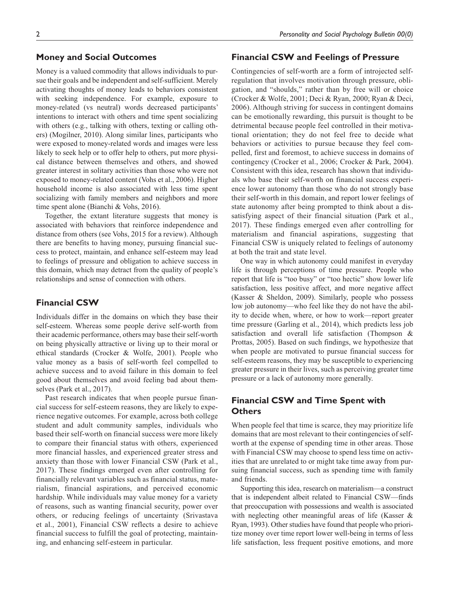# **Money and Social Outcomes**

Money is a valued commodity that allows individuals to pursue their goals and be independent and self-sufficient. Merely activating thoughts of money leads to behaviors consistent with seeking independence. For example, exposure to money-related (vs neutral) words decreased participants' intentions to interact with others and time spent socializing with others (e.g., talking with others, texting or calling others) (Mogilner, 2010). Along similar lines, participants who were exposed to money-related words and images were less likely to seek help or to offer help to others, put more physical distance between themselves and others, and showed greater interest in solitary activities than those who were not exposed to money-related content (Vohs et al., 2006). Higher household income is also associated with less time spent socializing with family members and neighbors and more time spent alone (Bianchi & Vohs, 2016).

Together, the extant literature suggests that money is associated with behaviors that reinforce independence and distance from others (see Vohs, 2015 for a review). Although there are benefits to having money, pursuing financial success to protect, maintain, and enhance self-esteem may lead to feelings of pressure and obligation to achieve success in this domain, which may detract from the quality of people's relationships and sense of connection with others.

# **Financial CSW**

Individuals differ in the domains on which they base their self-esteem. Whereas some people derive self-worth from their academic performance, others may base their self-worth on being physically attractive or living up to their moral or ethical standards (Crocker & Wolfe, 2001). People who value money as a basis of self-worth feel compelled to achieve success and to avoid failure in this domain to feel good about themselves and avoid feeling bad about themselves (Park et al., 2017).

Past research indicates that when people pursue financial success for self-esteem reasons, they are likely to experience negative outcomes. For example, across both college student and adult community samples, individuals who based their self-worth on financial success were more likely to compare their financial status with others, experienced more financial hassles, and experienced greater stress and anxiety than those with lower Financial CSW (Park et al., 2017). These findings emerged even after controlling for financially relevant variables such as financial status, materialism, financial aspirations, and perceived economic hardship. While individuals may value money for a variety of reasons, such as wanting financial security, power over others, or reducing feelings of uncertainty (Srivastava et al., 2001), Financial CSW reflects a desire to achieve financial success to fulfill the goal of protecting, maintaining, and enhancing self-esteem in particular.

# **Financial CSW and Feelings of Pressure**

Contingencies of self-worth are a form of introjected selfregulation that involves motivation through pressure, obligation, and "shoulds," rather than by free will or choice (Crocker & Wolfe, 2001; Deci & Ryan, 2000; Ryan & Deci, 2006). Although striving for success in contingent domains can be emotionally rewarding, this pursuit is thought to be detrimental because people feel controlled in their motivational orientation; they do not feel free to decide what behaviors or activities to pursue because they feel compelled, first and foremost, to achieve success in domains of contingency (Crocker et al., 2006; Crocker & Park, 2004). Consistent with this idea, research has shown that individuals who base their self-worth on financial success experience lower autonomy than those who do not strongly base their self-worth in this domain, and report lower feelings of state autonomy after being prompted to think about a dissatisfying aspect of their financial situation (Park et al., 2017). These findings emerged even after controlling for materialism and financial aspirations, suggesting that Financial CSW is uniquely related to feelings of autonomy at both the trait and state level.

One way in which autonomy could manifest in everyday life is through perceptions of time pressure. People who report that life is "too busy" or "too hectic" show lower life satisfaction, less positive affect, and more negative affect (Kasser & Sheldon, 2009). Similarly, people who possess low job autonomy—who feel like they do not have the ability to decide when, where, or how to work—report greater time pressure (Garling et al., 2014), which predicts less job satisfaction and overall life satisfaction (Thompson & Prottas, 2005). Based on such findings, we hypothesize that when people are motivated to pursue financial success for self-esteem reasons, they may be susceptible to experiencing greater pressure in their lives, such as perceiving greater time pressure or a lack of autonomy more generally.

# **Financial CSW and Time Spent with Others**

When people feel that time is scarce, they may prioritize life domains that are most relevant to their contingencies of selfworth at the expense of spending time in other areas. Those with Financial CSW may choose to spend less time on activities that are unrelated to or might take time away from pursuing financial success, such as spending time with family and friends.

Supporting this idea, research on materialism—a construct that is independent albeit related to Financial CSW—finds that preoccupation with possessions and wealth is associated with neglecting other meaningful areas of life (Kasser  $\&$ Ryan, 1993). Other studies have found that people who prioritize money over time report lower well-being in terms of less life satisfaction, less frequent positive emotions, and more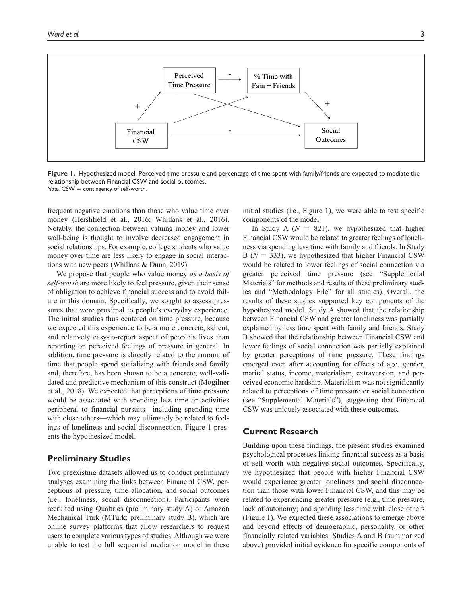

Figure 1. Hypothesized model. Perceived time pressure and percentage of time spent with family/friends are expected to mediate the relationship between Financial CSW and social outcomes. *Note.*  $CSW =$  contingency of self-worth.

frequent negative emotions than those who value time over money (Hershfield et al., 2016; Whillans et al., 2016). Notably, the connection between valuing money and lower well-being is thought to involve decreased engagement in social relationships. For example, college students who value money over time are less likely to engage in social interactions with new peers (Whillans & Dunn, 2019).

We propose that people who value money *as a basis of self-worth* are more likely to feel pressure, given their sense of obligation to achieve financial success and to avoid failure in this domain. Specifically, we sought to assess pressures that were proximal to people's everyday experience. The initial studies thus centered on time pressure, because we expected this experience to be a more concrete, salient, and relatively easy-to-report aspect of people's lives than reporting on perceived feelings of pressure in general. In addition, time pressure is directly related to the amount of time that people spend socializing with friends and family and, therefore, has been shown to be a concrete, well-validated and predictive mechanism of this construct (Mogilner et al., 2018). We expected that perceptions of time pressure would be associated with spending less time on activities peripheral to financial pursuits—including spending time with close others—which may ultimately be related to feelings of loneliness and social disconnection. Figure 1 presents the hypothesized model.

# **Preliminary Studies**

Two preexisting datasets allowed us to conduct preliminary analyses examining the links between Financial CSW, perceptions of pressure, time allocation, and social outcomes (i.e., loneliness, social disconnection). Participants were recruited using Qualtrics (preliminary study A) or Amazon Mechanical Turk (MTurk; preliminary study B), which are online survey platforms that allow researchers to request users to complete various types of studies. Although we were unable to test the full sequential mediation model in these

initial studies (i.e., Figure 1), we were able to test specific components of the model.

In Study A  $(N = 821)$ , we hypothesized that higher Financial CSW would be related to greater feelings of loneliness via spending less time with family and friends. In Study B (*N* = 333), we hypothesized that higher Financial CSW would be related to lower feelings of social connection via greater perceived time pressure (see "Supplemental Materials" for methods and results of these preliminary studies and "Methodology File" for all studies). Overall, the results of these studies supported key components of the hypothesized model. Study A showed that the relationship between Financial CSW and greater loneliness was partially explained by less time spent with family and friends. Study B showed that the relationship between Financial CSW and lower feelings of social connection was partially explained by greater perceptions of time pressure. These findings emerged even after accounting for effects of age, gender, marital status, income, materialism, extraversion, and perceived economic hardship. Materialism was not significantly related to perceptions of time pressure or social connection (see "Supplemental Materials"), suggesting that Financial CSW was uniquely associated with these outcomes.

# **Current Research**

Building upon these findings, the present studies examined psychological processes linking financial success as a basis of self-worth with negative social outcomes. Specifically, we hypothesized that people with higher Financial CSW would experience greater loneliness and social disconnection than those with lower Financial CSW, and this may be related to experiencing greater pressure (e.g., time pressure, lack of autonomy) and spending less time with close others (Figure 1). We expected these associations to emerge above and beyond effects of demographic, personality, or other financially related variables. Studies A and B (summarized above) provided initial evidence for specific components of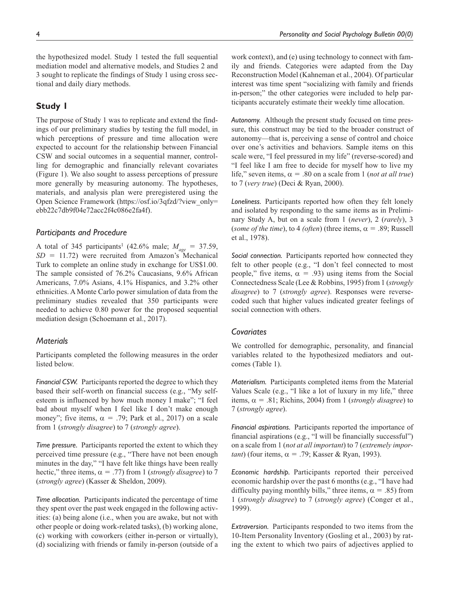the hypothesized model. Study 1 tested the full sequential mediation model and alternative models, and Studies 2 and 3 sought to replicate the findings of Study 1 using cross sectional and daily diary methods.

# **Study 1**

The purpose of Study 1 was to replicate and extend the findings of our preliminary studies by testing the full model, in which perceptions of pressure and time allocation were expected to account for the relationship between Financial CSW and social outcomes in a sequential manner, controlling for demographic and financially relevant covariates (Figure 1). We also sought to assess perceptions of pressure more generally by measuring autonomy. The hypotheses, materials, and analysis plan were preregistered using the Open Science Framework ([https://osf.io/3qfzd/?view\\_only=](https://osf.io/3qfzd/?view_only=ebb22c7db9f04e72acc2f4c086e2fa4f) [ebb22c7db9f04e72acc2f4c086e2fa4f](https://osf.io/3qfzd/?view_only=ebb22c7db9f04e72acc2f4c086e2fa4f)).

### *Participants and Procedure*

A total of 345 participants<sup>1</sup> (42.6% male;  $M_{age} = 37.59$ , *SD* = 11.72) were recruited from Amazon's Mechanical Turk to complete an online study in exchange for US\$1.00. The sample consisted of 76.2% Caucasians, 9.6% African Americans, 7.0% Asians, 4.1% Hispanics, and 3.2% other ethnicities. A Monte Carlo power simulation of data from the preliminary studies revealed that 350 participants were needed to achieve 0.80 power for the proposed sequential mediation design (Schoemann et al., 2017).

# *Materials*

Participants completed the following measures in the order listed below.

*Financial CSW.* Participants reported the degree to which they based their self-worth on financial success (e.g., "My selfesteem is influenced by how much money I make"; "I feel bad about myself when I feel like I don't make enough money"; five items,  $\alpha = .79$ ; Park et al., 2017) on a scale from 1 (*strongly disagree*) to 7 (*strongly agree*).

*Time pressure.* Participants reported the extent to which they perceived time pressure (e.g., "There have not been enough minutes in the day," "I have felt like things have been really hectic," three items,  $\alpha = .77$ ) from 1 (*strongly disagree*) to 7 (*strongly agree*) (Kasser & Sheldon, 2009).

*Time allocation.* Participants indicated the percentage of time they spent over the past week engaged in the following activities: (a) being alone (i.e., when you are awake, but not with other people or doing work-related tasks), (b) working alone, (c) working with coworkers (either in-person or virtually), (d) socializing with friends or family in-person (outside of a

work context), and (e) using technology to connect with family and friends. Categories were adapted from the Day Reconstruction Model (Kahneman et al., 2004). Of particular interest was time spent "socializing with family and friends in-person;" the other categories were included to help participants accurately estimate their weekly time allocation.

*Autonomy.* Although the present study focused on time pressure, this construct may be tied to the broader construct of autonomy—that is, perceiving a sense of control and choice over one's activities and behaviors. Sample items on this scale were, "I feel pressured in my life" (reverse-scored) and "I feel like I am free to decide for myself how to live my life," seven items,  $\alpha = .80$  on a scale from 1 (*not at all true*) to 7 (*very true*) (Deci & Ryan, 2000).

*Loneliness.* Participants reported how often they felt lonely and isolated by responding to the same items as in Preliminary Study A, but on a scale from 1 (*never*), 2 (*rarely*), 3 (*some of the time*), to 4 *(often*) (three items,  $\alpha = .89$ ; Russell et al., 1978).

*Social connection.* Participants reported how connected they felt to other people (e.g., "I don't feel connected to most people," five items,  $\alpha = .93$ ) using items from the Social Connectedness Scale (Lee & Robbins, 1995) from 1 (*strongly disagree*) to 7 (*strongly agree*). Responses were reversecoded such that higher values indicated greater feelings of social connection with others.

### *Covariates*

We controlled for demographic, personality, and financial variables related to the hypothesized mediators and outcomes (Table 1).

*Materialism.* Participants completed items from the Material Values Scale (e.g., "I like a lot of luxury in my life," three items,  $\alpha = .81$ ; Richins, 2004) from 1 (*strongly disagree*) to 7 (*strongly agree*).

*Financial aspirations.* Participants reported the importance of financial aspirations (e.g., "I will be financially successful") on a scale from 1 (*not at all important*) to 7 (*extremely important*) (four items,  $\alpha = .79$ ; Kasser & Ryan, 1993).

*Economic hardship.* Participants reported their perceived economic hardship over the past 6 months (e.g., "I have had difficulty paying monthly bills," three items,  $\alpha = .85$ ) from 1 (*strongly disagree*) to 7 (*strongly agree*) (Conger et al., 1999).

*Extraversion.* Participants responded to two items from the 10-Item Personality Inventory (Gosling et al., 2003) by rating the extent to which two pairs of adjectives applied to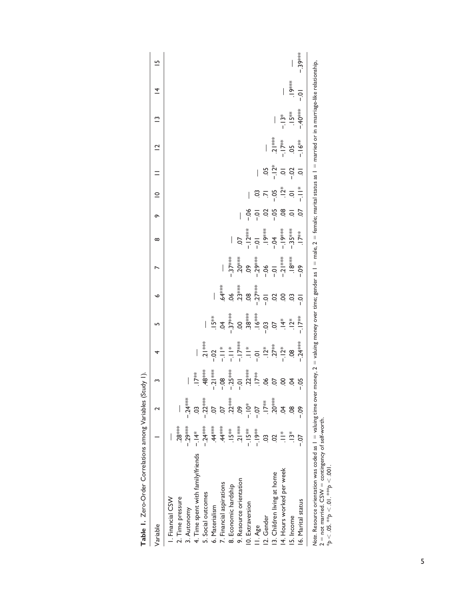| Variable                                       |          | 2              | 4                                                                                                                                                                                                                                                                                                                                                                                                   | Б | ∾ | $\infty$                                                                                                                      | ᡡ | $\subseteq$                                                     |                                                                                      | $\overline{\mathbf{C}}$ | m                | $\overline{4}$                 | S        |
|------------------------------------------------|----------|----------------|-----------------------------------------------------------------------------------------------------------------------------------------------------------------------------------------------------------------------------------------------------------------------------------------------------------------------------------------------------------------------------------------------------|---|---|-------------------------------------------------------------------------------------------------------------------------------|---|-----------------------------------------------------------------|--------------------------------------------------------------------------------------|-------------------------|------------------|--------------------------------|----------|
|                                                |          |                |                                                                                                                                                                                                                                                                                                                                                                                                     |   |   |                                                                                                                               |   |                                                                 |                                                                                      |                         |                  |                                |          |
| I. Financial CSW                               |          |                |                                                                                                                                                                                                                                                                                                                                                                                                     |   |   |                                                                                                                               |   |                                                                 |                                                                                      |                         |                  |                                |          |
| 2. Time pressure                               | $.28***$ |                |                                                                                                                                                                                                                                                                                                                                                                                                     |   |   |                                                                                                                               |   |                                                                 |                                                                                      |                         |                  |                                |          |
| $-29***$<br>3. Autonomy                        |          | $-24***$       |                                                                                                                                                                                                                                                                                                                                                                                                     |   |   |                                                                                                                               |   |                                                                 |                                                                                      |                         |                  |                                |          |
| $-14*$<br>4. Time spent with family/friends    |          | So             |                                                                                                                                                                                                                                                                                                                                                                                                     |   |   |                                                                                                                               |   |                                                                 |                                                                                      |                         |                  |                                |          |
| $-24***$<br>5. Social outcomes                 |          | $-22***$       |                                                                                                                                                                                                                                                                                                                                                                                                     |   |   |                                                                                                                               |   |                                                                 |                                                                                      |                         |                  |                                |          |
| 6. Materialism                                 | $44***$  |                |                                                                                                                                                                                                                                                                                                                                                                                                     |   |   |                                                                                                                               |   |                                                                 |                                                                                      |                         |                  |                                |          |
| 7. Financial aspirations                       | $.44***$ | $\overline{c}$ |                                                                                                                                                                                                                                                                                                                                                                                                     |   |   |                                                                                                                               |   |                                                                 |                                                                                      |                         |                  |                                |          |
| 8. Economic hardship                           | $-15**$  | $22***$        | $\frac{1}{2} + \frac{1}{2} + \frac{1}{2} + \frac{1}{2} + \frac{1}{2} + \frac{1}{2} + \frac{1}{2} + \frac{1}{2} + \frac{1}{2} + \frac{1}{2} + \frac{1}{2} + \frac{1}{2} + \frac{1}{2} + \frac{1}{2} + \frac{1}{2} + \frac{1}{2} + \frac{1}{2} + \frac{1}{2} + \frac{1}{2} + \frac{1}{2} + \frac{1}{2} + \frac{1}{2} + \frac{1}{2} + \frac{1}{2} + \frac{1}{2} + \frac{1}{2} + \frac{1}{2} + \frac{1$ |   |   |                                                                                                                               |   |                                                                 |                                                                                      |                         |                  |                                |          |
| 9. Resource orientation                        | $21***$  | <b>eo</b>      |                                                                                                                                                                                                                                                                                                                                                                                                     |   |   |                                                                                                                               |   |                                                                 |                                                                                      |                         |                  |                                |          |
| $-15**$<br>10. Extraversion                    |          | $-0.07$        |                                                                                                                                                                                                                                                                                                                                                                                                     |   |   |                                                                                                                               |   |                                                                 |                                                                                      |                         |                  |                                |          |
| **<br>- 19*<br>II. Age                         |          |                |                                                                                                                                                                                                                                                                                                                                                                                                     |   |   | $\begin{array}{c} .07 \\ -12^{***} \\ -0 \\ -0 \\ -0 \\ +9^{***} \\ -0 \\ +19^{***} \\ -19^{***} \\ -35^{***} \\ \end{array}$ |   |                                                                 |                                                                                      |                         |                  |                                |          |
| $\overline{c}$<br>12. Gender                   |          | <b>**、</b>     |                                                                                                                                                                                                                                                                                                                                                                                                     |   |   |                                                                                                                               |   |                                                                 |                                                                                      |                         |                  |                                |          |
| 13. Children living at home                    |          | $.20***$       |                                                                                                                                                                                                                                                                                                                                                                                                     |   |   |                                                                                                                               |   | $35 - 5$<br>$5 - 5$<br>$1 - 5$<br>$1 - 5$<br>$1 - 5$<br>$1 - 5$ | $5\frac{1}{2}$ $\frac{1}{2}$ $\frac{1}{2}$ $\frac{1}{2}$ $\frac{1}{2}$ $\frac{1}{2}$ |                         |                  |                                |          |
| $\stackrel{*}{=}$<br>14. Hours worked per week |          | Ś.             |                                                                                                                                                                                                                                                                                                                                                                                                     |   |   |                                                                                                                               |   |                                                                 |                                                                                      |                         |                  | $\begin{array}{c} \end{array}$ |          |
| $\stackrel{*}{=}$<br>15. Income                |          | 8              |                                                                                                                                                                                                                                                                                                                                                                                                     |   |   |                                                                                                                               |   |                                                                 |                                                                                      |                         | $-13*$<br>$-15*$ | $.19***$                       | I        |
| $-0.7$<br>16. Marital status                   |          | $-0.0$         | $-24***$                                                                                                                                                                                                                                                                                                                                                                                            |   |   | $.17***$                                                                                                                      |   |                                                                 |                                                                                      |                         | $-40***$         | $\overline{a}$                 | $-39***$ |

 $\frac{1}{2}$ *Note*. Resource orientation was coded as 1 = valuing time over money, 2 = valuing money over time; gender as 1 = male, 2 = female; marital status as 1 = married or in a marriage-like relationship, ug<br>ag ے<br>با ē å ie; genuer Ē. Ū<br>Š  $\frac{1}{2}$ l Silinpia ioney, 4  $\overline{D}$ Note. Resource orientation was coded as  $1 =$  valuing tin<br>2 = not married. CSW = contingency of self-worth.<br>\*p < .05. \*\*p < .01. \*\*\*p < .001.  $2 =$  not married.  $\textsf{CSW} = \textsf{contingency}$  of self-worth.

\**p* < .05. \*\**p* < .01. \*\*\**p* < .001.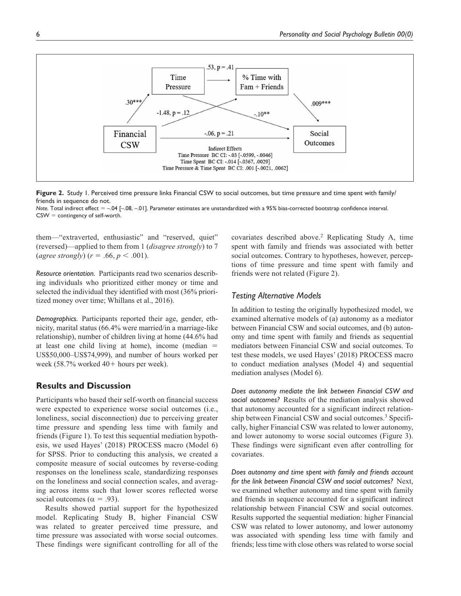

Figure 2. Study 1. Perceived time pressure links Financial CSW to social outcomes, but time pressure and time spent with family/ friends in sequence do not.

*Note.* Total indirect effect = –.04 [–.08, –.01]. Parameter estimates are unstandardized with a 95% bias-corrected bootstrap confidence interval.  $CSW =$  contingency of self-worth.

them—"extraverted, enthusiastic" and "reserved, quiet" (reversed)—applied to them from 1 (*disagree strongly*) to 7 (*agree strongly*) ( $r = .66, p < .001$ ).

*Resource orientation.* Participants read two scenarios describing individuals who prioritized either money or time and selected the individual they identified with most (36% prioritized money over time; Whillans et al., 2016).

*Demographics.* Participants reported their age, gender, ethnicity, marital status (66.4% were married/in a marriage-like relationship), number of children living at home (44.6% had at least one child living at home), income (median = US\$50,000–US\$74,999), and number of hours worked per week (58.7% worked 40+ hours per week).

# **Results and Discussion**

Participants who based their self-worth on financial success were expected to experience worse social outcomes (i.e., loneliness, social disconnection) due to perceiving greater time pressure and spending less time with family and friends (Figure 1). To test this sequential mediation hypothesis, we used Hayes' (2018) PROCESS macro (Model 6) for SPSS. Prior to conducting this analysis, we created a composite measure of social outcomes by reverse-coding responses on the loneliness scale, standardizing responses on the loneliness and social connection scales, and averaging across items such that lower scores reflected worse social outcomes ( $\alpha = .93$ ).

Results showed partial support for the hypothesized model. Replicating Study B, higher Financial CSW was related to greater perceived time pressure, and time pressure was associated with worse social outcomes. These findings were significant controlling for all of the

covariates described above.<sup>2</sup> Replicating Study A, time spent with family and friends was associated with better social outcomes. Contrary to hypotheses, however, perceptions of time pressure and time spent with family and friends were not related (Figure 2).

# *Testing Alternative Models*

In addition to testing the originally hypothesized model, we examined alternative models of (a) autonomy as a mediator between Financial CSW and social outcomes, and (b) autonomy and time spent with family and friends as sequential mediators between Financial CSW and social outcomes. To test these models, we used Hayes' (2018) PROCESS macro to conduct mediation analyses (Model 4) and sequential mediation analyses (Model 6).

*Does autonomy mediate the link between Financial CSW and social outcomes?* Results of the mediation analysis showed that autonomy accounted for a significant indirect relationship between Financial CSW and social outcomes.<sup>3</sup> Specifically, higher Financial CSW was related to lower autonomy, and lower autonomy to worse social outcomes (Figure 3). These findings were significant even after controlling for covariates.

*Does autonomy and time spent with family and friends account for the link between Financial CSW and social outcomes?* Next, we examined whether autonomy and time spent with family and friends in sequence accounted for a significant indirect relationship between Financial CSW and social outcomes. Results supported the sequential mediation: higher Financial CSW was related to lower autonomy, and lower autonomy was associated with spending less time with family and friends; less time with close others was related to worse social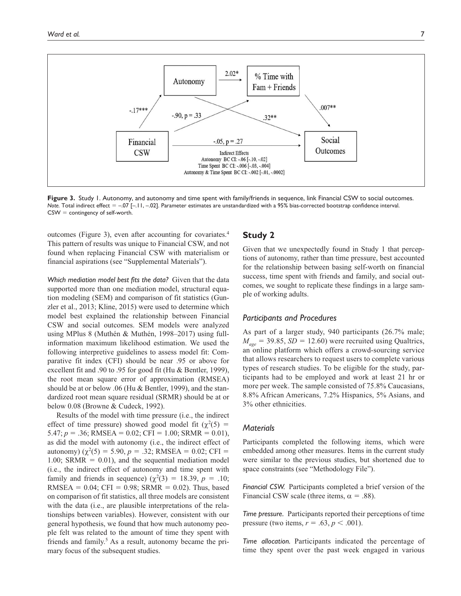

Figure 3. Study 1. Autonomy, and autonomy and time spent with family/friends in sequence, link Financial CSW to social outcomes. *Note.* Total indirect effect = -.07 [-.11, -.02]. Parameter estimates are unstandardized with a 95% bias-corrected bootstrap confidence interval.  $CSW =$  contingency of self-worth.

outcomes (Figure 3), even after accounting for covariates.4 This pattern of results was unique to Financial CSW, and not found when replacing Financial CSW with materialism or financial aspirations (see "Supplemental Materials").

*Which mediation model best fits the data?* Given that the data supported more than one mediation model, structural equation modeling (SEM) and comparison of fit statistics (Gunzler et al., 2013; Kline, 2015) were used to determine which model best explained the relationship between Financial CSW and social outcomes. SEM models were analyzed using MPlus 8 (Muthén & Muthén, 1998–2017) using fullinformation maximum likelihood estimation. We used the following interpretive guidelines to assess model fit: Comparative fit index (CFI) should be near .95 or above for excellent fit and .90 to .95 for good fit (Hu & Bentler, 1999), the root mean square error of approximation (RMSEA) should be at or below .06 (Hu & Bentler, 1999), and the standardized root mean square residual (SRMR) should be at or below 0.08 (Browne & Cudeck, 1992).

Results of the model with time pressure (i.e., the indirect effect of time pressure) showed good model fit  $(\chi^2(5)$  = 5.47;  $p = 0.36$ ; RMSEA = 0.02; CFI = 1.00; SRMR = 0.01), as did the model with autonomy (i.e., the indirect effect of autonomy)  $(\chi^2(5) = 5.90, p = .32; RMSEA = 0.02; CFI =$ 1.00; SRMR  $=$  0.01), and the sequential mediation model (i.e., the indirect effect of autonomy and time spent with family and friends in sequence)  $(\chi^2(3) = 18.39, p = .10)$ ; RMSEA =  $0.04$ ; CFI =  $0.98$ ; SRMR =  $0.02$ ). Thus, based on comparison of fit statistics, all three models are consistent with the data (i.e., are plausible interpretations of the relationships between variables). However, consistent with our general hypothesis, we found that how much autonomy people felt was related to the amount of time they spent with friends and family.<sup>5</sup> As a result, autonomy became the primary focus of the subsequent studies.

# **Study 2**

Given that we unexpectedly found in Study 1 that perceptions of autonomy, rather than time pressure, best accounted for the relationship between basing self-worth on financial success, time spent with friends and family, and social outcomes, we sought to replicate these findings in a large sample of working adults.

### *Participants and Procedures*

As part of a larger study, 940 participants (26.7% male;  $M_{\text{gas}}$  = 39.85, *SD* = 12.60) were recruited using Qualtrics, an online platform which offers a crowd-sourcing service that allows researchers to request users to complete various types of research studies. To be eligible for the study, participants had to be employed and work at least 21 hr or more per week. The sample consisted of 75.8% Caucasians, 8.8% African Americans, 7.2% Hispanics, 5% Asians, and 3% other ethnicities.

### *Materials*

Participants completed the following items, which were embedded among other measures. Items in the current study were similar to the previous studies, but shortened due to space constraints (see "Methodology File").

*Financial CSW.* Participants completed a brief version of the Financial CSW scale (three items,  $\alpha = .88$ ).

*Time pressure.* Participants reported their perceptions of time pressure (two items,  $r = .63$ ,  $p < .001$ ).

*Time allocation.* Participants indicated the percentage of time they spent over the past week engaged in various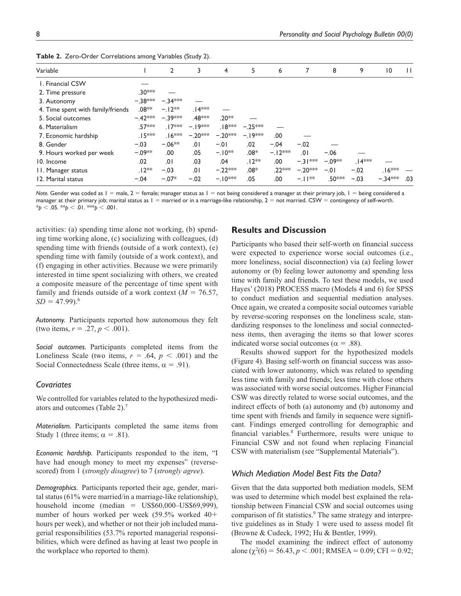| Variable                          |           | $\overline{2}$ | 3         | 4         | 5         | 6         |           | 8        | 9        | $\overline{10}$ | $\mathbf{H}$ |
|-----------------------------------|-----------|----------------|-----------|-----------|-----------|-----------|-----------|----------|----------|-----------------|--------------|
| I. Financial CSW                  |           |                |           |           |           |           |           |          |          |                 |              |
| 2. Time pressure                  | .30***    |                |           |           |           |           |           |          |          |                 |              |
| 3. Autonomy                       | $-.38***$ | $-.34***$      |           |           |           |           |           |          |          |                 |              |
| 4. Time spent with family/friends | $.08**$   | $-.12**$       | $.14***$  |           |           |           |           |          |          |                 |              |
| 5. Social outcomes                | $-.42***$ | $-.39***$      | .48 ***   | $.20**$   |           |           |           |          |          |                 |              |
| 6. Materialism                    | .57***    | $.17***$       | $-19***$  | .18***    | $-.25***$ |           |           |          |          |                 |              |
| 7. Economic hardship              | $.15***$  | $.16***$       | $-.20***$ | $-.20***$ | $-19***$  | .00       |           |          |          |                 |              |
| 8. Gender                         | $-.03$    | $-.06***$      | 0١.       | $-.01$    | .02       | $-.04$    | $-.02$    |          |          |                 |              |
| 9. Hours worked per week          | $-.09**$  | .00            | .05       | $-.10**$  | $.08*$    | $-.12***$ | 0١.       | $-.06$   |          |                 |              |
| 10. Income                        | .02       | .01            | .03       | .04       | $.12**$   | .00       | $-.31***$ | $-.09**$ | $.14***$ |                 |              |
| 11. Manager status                | $.12**$   | $-.03$         | .01       | $-.22***$ | $.08*$    | $.22***$  | $-.20***$ | $-.01$   | $-.02$   | $.16***$        |              |
| 12. Marital status                | $-.04$    | $-.07*$        | $-.02$    | $-.10***$ | .05       | .00       | $-11$ $*$ | .50***   | $-.03$   | $-.34***$       | .03          |

**Table 2.** Zero-Order Correlations among Variables (Study 2).

*Note.* Gender was coded as  $1 =$  male,  $2 =$  female; manager status as  $1 =$  not being considered a manager at their primary job,  $1 =$  being considered a manager at their primary job; marital status as  $1 =$  married or in a marriage-like relationship,  $2 =$  not married. CSW = contingency of self-worth. \**p* < .05. \*\**p* < .01. \*\*\**p* < .001.

activities: (a) spending time alone not working, (b) spending time working alone, (c) socializing with colleagues, (d) spending time with friends (outside of a work context), (e) spending time with family (outside of a work context), and (f) engaging in other activities. Because we were primarily interested in time spent socializing with others, we created a composite measure of the percentage of time spent with family and friends outside of a work context ( $M = 76.57$ ,  $SD = 47.99$ .<sup>6</sup>

*Autonomy.* Participants reported how autonomous they felt (two items,  $r = .27$ ,  $p < .001$ ).

*Social outcomes.* Participants completed items from the Loneliness Scale (two items,  $r = .64$ ,  $p < .001$ ) and the Social Connectedness Scale (three items,  $\alpha = .91$ ).

# *Covariates*

We controlled for variables related to the hypothesized mediators and outcomes (Table 2).7

*Materialism.* Participants completed the same items from Study 1 (three items;  $\alpha = .81$ ).

*Economic hardship.* Participants responded to the item, "I have had enough money to meet my expenses" (reversescored) from 1 (*strongly disagree*) to 7 (*strongly agree*).

*Demographics.* Participants reported their age, gender, marital status (61% were married/in a marriage-like relationship), household income (median  $=$  US\$60,000–US\$69,999), number of hours worked per week (59.5% worked 40+ hours per week), and whether or not their job included managerial responsibilities (53.7% reported managerial responsibilities, which were defined as having at least two people in the workplace who reported to them).

# **Results and Discussion**

Participants who based their self-worth on financial success were expected to experience worse social outcomes (i.e., more loneliness, social disconnection) via (a) feeling lower autonomy or (b) feeling lower autonomy and spending less time with family and friends. To test these models, we used Hayes' (2018) PROCESS macro (Models 4 and 6) for SPSS to conduct mediation and sequential mediation analyses. Once again, we created a composite social outcomes variable by reverse-scoring responses on the loneliness scale, standardizing responses to the loneliness and social connectedness items, then averaging the items so that lower scores indicated worse social outcomes ( $\alpha = .88$ ).

Results showed support for the hypothesized models (Figure 4). Basing self-worth on financial success was associated with lower autonomy, which was related to spending less time with family and friends; less time with close others was associated with worse social outcomes. Higher Financial CSW was directly related to worse social outcomes, and the indirect effects of both (a) autonomy and (b) autonomy and time spent with friends and family in sequence were significant. Findings emerged controlling for demographic and financial variables.<sup>8</sup> Furthermore, results were unique to Financial CSW and not found when replacing Financial CSW with materialism (see "Supplemental Materials").

# *Which Mediation Model Best Fits the Data?*

Given that the data supported both mediation models, SEM was used to determine which model best explained the relationship between Financial CSW and social outcomes using comparison of fit statistics.<sup>9</sup> The same strategy and interpretive guidelines as in Study 1 were used to assess model fit (Browne & Cudeck, 1992; Hu & Bentler, 1999).

The model examining the indirect effect of autonomy alone ( $\chi^2(6) = 56.43, p < .001$ ; RMSEA = 0.09; CFI = 0.92;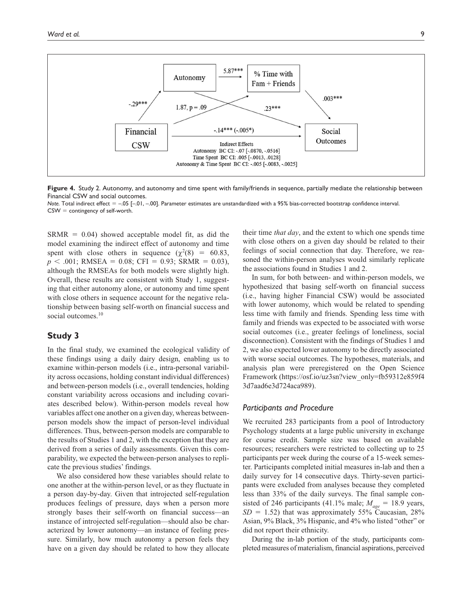

**Figure 4.** Study 2. Autonomy, and autonomy and time spent with family/friends in sequence, partially mediate the relationship between Financial CSW and social outcomes.

*Note.* Total indirect effect = -.05 [-.01, -.00]. Parameter estimates are unstandardized with a 95% bias-corrected bootstrap confidence interval.  $CSW =$  contingency of self-worth.

 $SRMR = 0.04$ ) showed acceptable model fit, as did the model examining the indirect effect of autonomy and time spent with close others in sequence  $(\chi^2(8) = 60.83)$ ,  $p < .001$ ; RMSEA = 0.08; CFI = 0.93; SRMR = 0.03), although the RMSEAs for both models were slightly high. Overall, these results are consistent with Study 1, suggesting that either autonomy alone, or autonomy and time spent with close others in sequence account for the negative relationship between basing self-worth on financial success and social outcomes.<sup>10</sup>

# **Study 3**

In the final study, we examined the ecological validity of these findings using a daily dairy design, enabling us to examine within-person models (i.e., intra-personal variability across occasions, holding constant individual differences) and between-person models (i.e., overall tendencies, holding constant variability across occasions and including covariates described below). Within-person models reveal how variables affect one another on a given day, whereas betweenperson models show the impact of person-level individual differences. Thus, between-person models are comparable to the results of Studies 1 and 2, with the exception that they are derived from a series of daily assessments. Given this comparability, we expected the between-person analyses to replicate the previous studies' findings.

We also considered how these variables should relate to one another at the within-person level, or as they fluctuate in a person day-by-day. Given that introjected self-regulation produces feelings of pressure, days when a person more strongly bases their self-worth on financial success—an instance of introjected self-regulation—should also be characterized by lower autonomy—an instance of feeling pressure. Similarly, how much autonomy a person feels they have on a given day should be related to how they allocate their time *that day*, and the extent to which one spends time with close others on a given day should be related to their feelings of social connection that day. Therefore, we reasoned the within-person analyses would similarly replicate the associations found in Studies 1 and 2.

In sum, for both between- and within-person models, we hypothesized that basing self-worth on financial success (i.e., having higher Financial CSW) would be associated with lower autonomy, which would be related to spending less time with family and friends. Spending less time with family and friends was expected to be associated with worse social outcomes (i.e., greater feelings of loneliness, social disconnection). Consistent with the findings of Studies 1 and 2, we also expected lower autonomy to be directly associated with worse social outcomes. The hypotheses, materials, and analysis plan were preregistered on the Open Science Framework [\(https://osf.io/uz3sn?view\\_only=fb59312e859f4](https://osf.io/uz3sn?view_only=fb59312e859f43d7aad6e3d724aca989) [3d7aad6e3d724aca989](https://osf.io/uz3sn?view_only=fb59312e859f43d7aad6e3d724aca989)).

#### *Participants and Procedure*

We recruited 283 participants from a pool of Introductory Psychology students at a large public university in exchange for course credit. Sample size was based on available resources; researchers were restricted to collecting up to 25 participants per week during the course of a 15-week semester. Participants completed initial measures in-lab and then a daily survey for 14 consecutive days. Thirty-seven participants were excluded from analyses because they completed less than 33% of the daily surveys. The final sample consisted of 246 participants (41.1% male;  $M_{age} = 18.9$  years,  $SD = 1.52$ ) that was approximately 55% Caucasian, 28% Asian, 9% Black, 3% Hispanic, and 4% who listed "other" or did not report their ethnicity.

During the in-lab portion of the study, participants completed measures of materialism, financial aspirations, perceived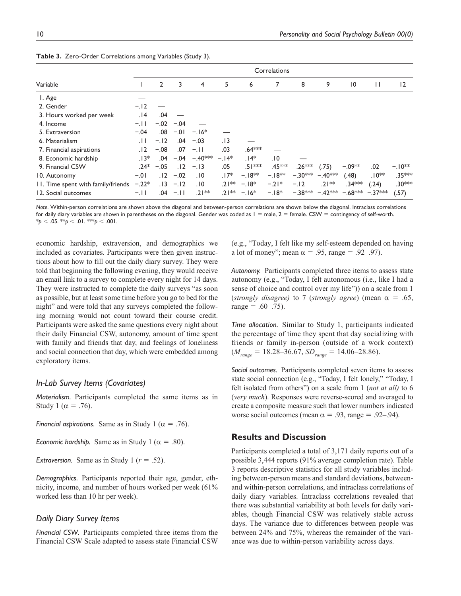|                                    | Correlations |                |        |           |        |                 |          |          |                  |                               |         |          |
|------------------------------------|--------------|----------------|--------|-----------|--------|-----------------|----------|----------|------------------|-------------------------------|---------|----------|
| Variable                           |              | $\overline{2}$ | 3      | 4         | 5      | 6               |          | 8        | 9                | $\overline{10}$               | П       | 12       |
| I. Age                             |              |                |        |           |        |                 |          |          |                  |                               |         |          |
| 2. Gender                          | $-.12$       |                |        |           |        |                 |          |          |                  |                               |         |          |
| 3. Hours worked per week           | 14.          | .04            |        |           |        |                 |          |          |                  |                               |         |          |
| 4. Income                          | $-.11$       | $-.02$         | $-.04$ |           |        |                 |          |          |                  |                               |         |          |
| 5. Extraversion                    | $-.04$       | .08            | $-.01$ | $-16*$    |        |                 |          |          |                  |                               |         |          |
| 6. Materialism                     | .11          | $-.12$         | .04    | $-.03$    | .13    |                 |          |          |                  |                               |         |          |
| 7. Financial aspirations           | .12          | $-.08$         | .07    | $-.11$    | .03    | $.64***$        |          |          |                  |                               |         |          |
| 8. Economic hardship               | $.13*$       | .04            | $-.04$ | $-.40***$ | $-14*$ | $.14*$          | .10      |          |                  |                               |         |          |
| 9. Financial CSW                   | $.24*$       | $-.05$         | .12    | $-.13$    | .05    | $.51***$        | .45***   | $.26***$ | (.75)            | $-.09**$                      | .02     | $-.10**$ |
| 10. Autonomy                       | $-.01$       | .12            | $-.02$ | .10       | $.17*$ | $-18**$         | $-.18**$ |          | $-.30***-.40***$ | (.48)                         | $.10**$ | .35***   |
| 11. Time spent with family/friends | $-.22*$      | .13            | $-.12$ | .10       |        | $.21*** - .18*$ | $-.21*$  | $-.12$   | $.21**$          | $.34***$                      | (.24)   | .30***   |
| 12. Social outcomes                | $-.11$       | .04            | $-11$  | $.21**$   |        | $.21*** - .16*$ | $-.18*$  |          |                  | $-38*** -42*** -68*** -37***$ |         | (.57)    |

**Table 3.** Zero-Order Correlations among Variables (Study 3).

*Note*. Within-person correlations are shown above the diagonal and between-person correlations are shown below the diagonal. Intraclass correlations for daily diary variables are shown in parentheses on the diagonal. Gender was coded as  $1 =$  male,  $2 =$  female. CSW = contingency of self-worth. \**p* < .05. \*\**p* < .01. \*\*\**p* < .001.

economic hardship, extraversion, and demographics we included as covariates. Participants were then given instructions about how to fill out the daily diary survey. They were told that beginning the following evening, they would receive an email link to a survey to complete every night for 14 days. They were instructed to complete the daily surveys "as soon as possible, but at least some time before you go to bed for the night" and were told that any surveys completed the following morning would not count toward their course credit. Participants were asked the same questions every night about their daily Financial CSW, autonomy, amount of time spent with family and friends that day, and feelings of loneliness and social connection that day, which were embedded among exploratory items.

#### *In-Lab Survey Items (Covariates)*

*Materialism.* Participants completed the same items as in Study 1 ( $\alpha$  = .76).

*Financial aspirations.* Same as in Study 1 ( $\alpha$  = .76).

*Economic hardship.* Same as in Study 1 ( $\alpha$  = .80).

*Extraversion.* Same as in Study 1 (*r* = .52).

*Demographics.* Participants reported their age, gender, ethnicity, income, and number of hours worked per week (61% worked less than 10 hr per week).

### *Daily Diary Survey Items*

*Financial CSW.* Participants completed three items from the Financial CSW Scale adapted to assess state Financial CSW

(e.g., "Today, I felt like my self-esteem depended on having a lot of money"; mean  $\alpha = .95$ , range = .92-.97).

*Autonomy.* Participants completed three items to assess state autonomy (e.g., "Today, I felt autonomous (i.e., like I had a sense of choice and control over my life")) on a scale from 1 (*strongly disagree)* to 7 (*strongly agree*) (mean α = .65,  $range = .60-.75$ ).

*Time allocation.* Similar to Study 1, participants indicated the percentage of time they spent that day socializing with friends or family in-person (outside of a work context)  $(M_{range} = 18.28 - 36.67, SD_{range} = 14.06 - 28.86).$ 

*Social outcomes.* Participants completed seven items to assess state social connection (e.g., "Today, I felt lonely," "Today, I felt isolated from others") on a scale from 1 (*not at all)* to 6 (*very much*). Responses were reverse-scored and averaged to create a composite measure such that lower numbers indicated worse social outcomes (mean  $\alpha = .93$ , range = .92–.94).

# **Results and Discussion**

Participants completed a total of 3,171 daily reports out of a possible 3,444 reports (91% average completion rate). Table 3 reports descriptive statistics for all study variables including between-person means and standard deviations, betweenand within-person correlations, and intraclass correlations of daily diary variables. Intraclass correlations revealed that there was substantial variability at both levels for daily variables, though Financial CSW was relatively stable across days. The variance due to differences between people was between 24% and 75%, whereas the remainder of the variance was due to within-person variability across days.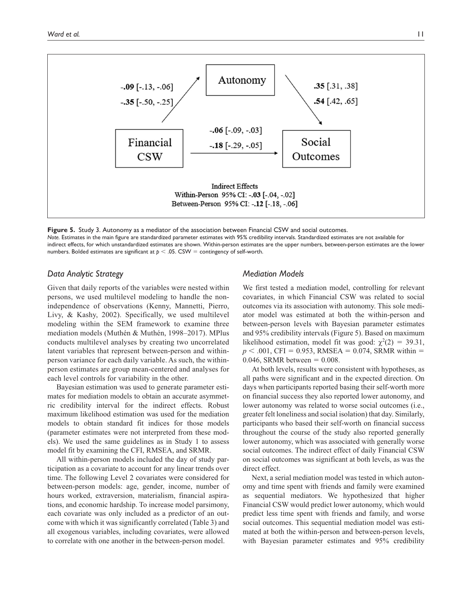

**Figure 5.** Study 3. Autonomy as a mediator of the association between Financial CSW and social outcomes.

*Note.* Estimates in the main figure are standardized parameter estimates with 95% credibility intervals. Standardized estimates are not available for indirect effects, for which unstandardized estimates are shown. Within-person estimates are the upper numbers, between-person estimates are the lower numbers. Bolded estimates are significant at  $p < .05$ . CSW = contingency of self-worth.

# *Data Analytic Strategy*

Given that daily reports of the variables were nested within persons, we used multilevel modeling to handle the nonindependence of observations (Kenny, Mannetti, Pierro, Livy, & Kashy, 2002). Specifically, we used multilevel modeling within the SEM framework to examine three mediation models (Muthén & Muthén, 1998–2017). MPlus conducts multilevel analyses by creating two uncorrelated latent variables that represent between-person and withinperson variance for each daily variable. As such, the withinperson estimates are group mean-centered and analyses for each level controls for variability in the other.

Bayesian estimation was used to generate parameter estimates for mediation models to obtain an accurate asymmetric credibility interval for the indirect effects. Robust maximum likelihood estimation was used for the mediation models to obtain standard fit indices for those models (parameter estimates were not interpreted from these models). We used the same guidelines as in Study 1 to assess model fit by examining the CFI, RMSEA, and SRMR.

All within-person models included the day of study participation as a covariate to account for any linear trends over time. The following Level 2 covariates were considered for between-person models: age, gender, income, number of hours worked, extraversion, materialism, financial aspirations, and economic hardship. To increase model parsimony, each covariate was only included as a predictor of an outcome with which it was significantly correlated (Table 3) and all exogenous variables, including covariates, were allowed to correlate with one another in the between-person model.

# *Mediation Models*

We first tested a mediation model, controlling for relevant covariates, in which Financial CSW was related to social outcomes via its association with autonomy. This sole mediator model was estimated at both the within-person and between-person levels with Bayesian parameter estimates and 95% credibility intervals (Figure 5). Based on maximum likelihood estimation, model fit was good:  $\chi^2(2) = 39.31$ ,  $p < .001$ , CFI = 0.953, RMSEA = 0.074, SRMR within = 0.046, SRMR between  $= 0.008$ .

At both levels, results were consistent with hypotheses, as all paths were significant and in the expected direction. On days when participants reported basing their self-worth more on financial success they also reported lower autonomy, and lower autonomy was related to worse social outcomes (i.e., greater felt loneliness and social isolation) that day. Similarly, participants who based their self-worth on financial success throughout the course of the study also reported generally lower autonomy, which was associated with generally worse social outcomes. The indirect effect of daily Financial CSW on social outcomes was significant at both levels, as was the direct effect.

Next, a serial mediation model was tested in which autonomy and time spent with friends and family were examined as sequential mediators. We hypothesized that higher Financial CSW would predict lower autonomy, which would predict less time spent with friends and family, and worse social outcomes. This sequential mediation model was estimated at both the within-person and between-person levels, with Bayesian parameter estimates and 95% credibility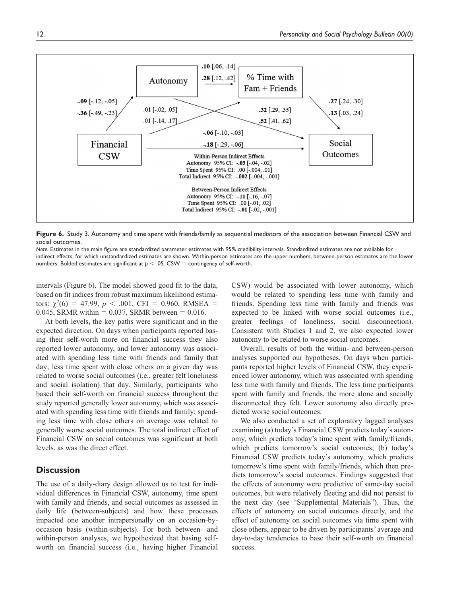

**Figure 6.** Study 3. Autonomy and time spent with friends/family as sequential mediators of the association between Financial CSW and social outcomes.

*Note.* Estimates in the main figure are standardized parameter estimates with 95% credibility intervals. Standardized estimates are not available for indirect effects, for which unstandardized estimates are shown. Within-person estimates are the upper numbers, between-person estimates are the lower numbers. Bolded estimates are significant at  $p < .05$ . CSW = contingency of self-worth.

intervals (Figure 6). The model showed good fit to the data, based on fit indices from robust maximum likelihood estimators:  $\chi^2(6) = 47.99$ ,  $p < .001$ , CFI = 0.960, RMSEA = 0.045, SRMR within = 0.037, SRMR between = 0.016.

At both levels, the key paths were significant and in the expected direction. On days when participants reported basing their self-worth more on financial success they also reported lower autonomy, and lower autonomy was associated with spending less time with friends and family that day; less time spent with close others on a given day was related to worse social outcomes (i.e., greater felt loneliness and social isolation) that day. Similarly, participants who based their self-worth on financial success throughout the study reported generally lower autonomy, which was associated with spending less time with friends and family; spending less time with close others on average was related to generally worse social outcomes. The total indirect effect of Financial CSW on social outcomes was significant at both levels, as was the direct effect.

# **Discussion**

The use of a daily-diary design allowed us to test for individual differences in Financial CSW, autonomy, time spent with family and friends, and social outcomes as assessed in daily life (between-subjects) and how these processes impacted one another intrapersonally on an occasion-byoccasion basis (within-subjects). For both between- and within-person analyses, we hypothesized that basing selfworth on financial success (i.e., having higher Financial

CSW) would be associated with lower autonomy, which would be related to spending less time with family and friends. Spending less time with family and friends was expected to be linked with worse social outcomes (i.e., greater feelings of loneliness, social disconnection). Consistent with Studies 1 and 2, we also expected lower autonomy to be related to worse social outcomes.

Overall, results of both the within- and between-person analyses supported our hypotheses. On days when participants reported higher levels of Financial CSW, they experienced lower autonomy, which was associated with spending less time with family and friends. The less time participants spent with family and friends, the more alone and socially disconnected they felt. Lower autonomy also directly predicted worse social outcomes.

We also conducted a set of exploratory lagged analyses examining (a) today's Financial CSW predicts today's autonomy, which predicts today's time spent with family/friends, which predicts tomorrow's social outcomes; (b) today's Financial CSW predicts today's autonomy, which predicts tomorrow's time spent with family/friends, which then predicts tomorrow's social outcomes. Findings suggested that the effects of autonomy were predictive of same-day social outcomes, but were relatively fleeting and did not persist to the next day (see "Supplemental Materials"). Thus, the effects of autonomy on social outcomes directly, and the effect of autonomy on social outcomes via time spent with close others, appear to be driven by participants' average and day-to-day tendencies to base their self-worth on financial success.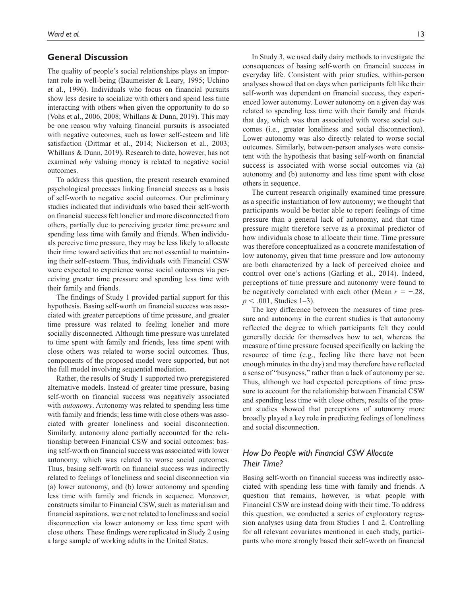# **General Discussion**

The quality of people's social relationships plays an important role in well-being (Baumeister & Leary, 1995; Uchino et al., 1996). Individuals who focus on financial pursuits show less desire to socialize with others and spend less time interacting with others when given the opportunity to do so (Vohs et al., 2006, 2008; Whillans & Dunn, 2019). This may be one reason why valuing financial pursuits is associated with negative outcomes, such as lower self-esteem and life satisfaction (Dittmar et al., 2014; Nickerson et al., 2003; Whillans & Dunn, 2019). Research to date, however, has not examined *why* valuing money is related to negative social outcomes.

To address this question, the present research examined psychological processes linking financial success as a basis of self-worth to negative social outcomes. Our preliminary studies indicated that individuals who based their self-worth on financial success felt lonelier and more disconnected from others, partially due to perceiving greater time pressure and spending less time with family and friends. When individuals perceive time pressure, they may be less likely to allocate their time toward activities that are not essential to maintaining their self-esteem. Thus, individuals with Financial CSW were expected to experience worse social outcomes via perceiving greater time pressure and spending less time with their family and friends.

The findings of Study 1 provided partial support for this hypothesis. Basing self-worth on financial success was associated with greater perceptions of time pressure, and greater time pressure was related to feeling lonelier and more socially disconnected. Although time pressure was unrelated to time spent with family and friends, less time spent with close others was related to worse social outcomes. Thus, components of the proposed model were supported, but not the full model involving sequential mediation.

Rather, the results of Study 1 supported two preregistered alternative models. Instead of greater time pressure, basing self-worth on financial success was negatively associated with *autonomy*. Autonomy was related to spending less time with family and friends; less time with close others was associated with greater loneliness and social disconnection. Similarly, autonomy alone partially accounted for the relationship between Financial CSW and social outcomes: basing self-worth on financial success was associated with lower autonomy, which was related to worse social outcomes. Thus, basing self-worth on financial success was indirectly related to feelings of loneliness and social disconnection via (a) lower autonomy, and (b) lower autonomy and spending less time with family and friends in sequence. Moreover, constructs similar to Financial CSW, such as materialism and financial aspirations, were not related to loneliness and social disconnection via lower autonomy or less time spent with close others. These findings were replicated in Study 2 using a large sample of working adults in the United States.

In Study 3, we used daily dairy methods to investigate the consequences of basing self-worth on financial success in everyday life. Consistent with prior studies, within-person analyses showed that on days when participants felt like their self-worth was dependent on financial success, they experienced lower autonomy. Lower autonomy on a given day was related to spending less time with their family and friends that day, which was then associated with worse social outcomes (i.e., greater loneliness and social disconnection). Lower autonomy was also directly related to worse social outcomes. Similarly, between-person analyses were consistent with the hypothesis that basing self-worth on financial success is associated with worse social outcomes via (a) autonomy and (b) autonomy and less time spent with close others in sequence.

The current research originally examined time pressure as a specific instantiation of low autonomy; we thought that participants would be better able to report feelings of time pressure than a general lack of autonomy, and that time pressure might therefore serve as a proximal predictor of how individuals chose to allocate their time. Time pressure was therefore conceptualized as a concrete manifestation of low autonomy, given that time pressure and low autonomy are both characterized by a lack of perceived choice and control over one's actions (Garling et al., 2014). Indeed, perceptions of time pressure and autonomy were found to be negatively correlated with each other (Mean *r* = −.28, *p* < .001, Studies 1–3).

The key difference between the measures of time pressure and autonomy in the current studies is that autonomy reflected the degree to which participants felt they could generally decide for themselves how to act, whereas the measure of time pressure focused specifically on lacking the resource of time (e.g., feeling like there have not been enough minutes in the day) and may therefore have reflected a sense of "busyness," rather than a lack of autonomy per se. Thus, although we had expected perceptions of time pressure to account for the relationship between Financial CSW and spending less time with close others, results of the present studies showed that perceptions of autonomy more broadly played a key role in predicting feelings of loneliness and social disconnection.

# *How Do People with Financial CSW Allocate Their Time?*

Basing self-worth on financial success was indirectly associated with spending less time with family and friends. A question that remains, however, is what people with Financial CSW are instead doing with their time. To address this question, we conducted a series of exploratory regression analyses using data from Studies 1 and 2. Controlling for all relevant covariates mentioned in each study, participants who more strongly based their self-worth on financial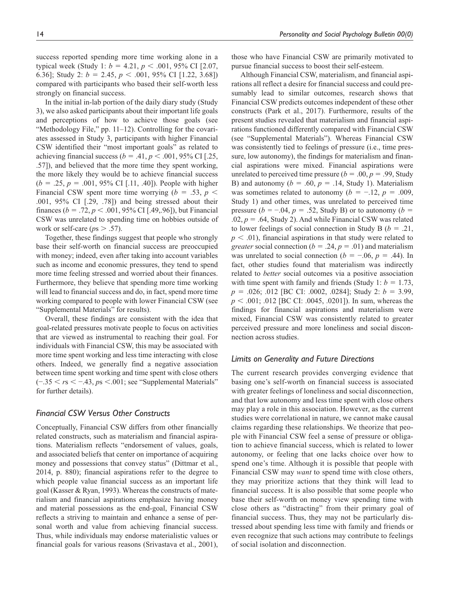success reported spending more time working alone in a typical week (Study 1: *b* = 4.21, *p* < .001, 95% CI [2.07, 6.36]; Study 2: *b* = 2.45, *p* < .001, 95% CI [1.22, 3.68]) compared with participants who based their self-worth less strongly on financial success.

In the initial in-lab portion of the daily diary study (Study 3), we also asked participants about their important life goals and perceptions of how to achieve those goals (see "Methodology File," pp. 11–12). Controlling for the covariates assessed in Study 3, participants with higher Financial CSW identified their "most important goals" as related to achieving financial success ( $b = .41$ ,  $p < .001$ , 95% CI [.25, .57]), and believed that the more time they spent working, the more likely they would be to achieve financial success  $(b = .25, p = .001, 95\% \text{ CI}$  [.11, .40]). People with higher Financial CSW spent more time worrying  $(b = .53, p <$ .001, 95% CI [.29, .78]) and being stressed about their finances ( $b = .72$ ,  $p < .001$ , 95% CI [.49,.96]), but Financial CSW was unrelated to spending time on hobbies outside of work or self-care ( $p_s > .57$ ).

Together, these findings suggest that people who strongly base their self-worth on financial success are preoccupied with money; indeed, even after taking into account variables such as income and economic pressures, they tend to spend more time feeling stressed and worried about their finances. Furthermore, they believe that spending more time working will lead to financial success and do, in fact, spend more time working compared to people with lower Financial CSW (see "Supplemental Materials" for results).

Overall, these findings are consistent with the idea that goal-related pressures motivate people to focus on activities that are viewed as instrumental to reaching their goal. For individuals with Financial CSW, this may be associated with more time spent working and less time interacting with close others. Indeed, we generally find a negative association between time spent working and time spent with close others (−.35 < *r*s < −.43, *p*s <.001; see "Supplemental Materials" for further details).

# *Financial CSW Versus Other Constructs*

Conceptually, Financial CSW differs from other financially related constructs, such as materialism and financial aspirations. Materialism reflects "endorsement of values, goals, and associated beliefs that center on importance of acquiring money and possessions that convey status" (Dittmar et al., 2014, p. 880); financial aspirations refer to the degree to which people value financial success as an important life goal (Kasser & Ryan, 1993). Whereas the constructs of materialism and financial aspirations emphasize having money and material possessions as the end-goal, Financial CSW reflects a striving to maintain and enhance a sense of personal worth and value from achieving financial success. Thus, while individuals may endorse materialistic values or financial goals for various reasons (Srivastava et al., 2001),

those who have Financial CSW are primarily motivated to pursue financial success to boost their self-esteem.

Although Financial CSW, materialism, and financial aspirations all reflect a desire for financial success and could presumably lead to similar outcomes, research shows that Financial CSW predicts outcomes independent of these other constructs (Park et al., 2017). Furthermore, results of the present studies revealed that materialism and financial aspirations functioned differently compared with Financial CSW (see "Supplemental Materials"). Whereas Financial CSW was consistently tied to feelings of pressure (i.e., time pressure, low autonomy), the findings for materialism and financial aspirations were mixed. Financial aspirations were unrelated to perceived time pressure  $(b = .00, p = .99,$  Study B) and autonomy ( $b = .60$ ,  $p = .14$ , Study 1). Materialism was sometimes related to autonomy  $(b = -.12, p = .009,$ Study 1) and other times, was unrelated to perceived time pressure ( $b = -0.04$ ,  $p = 0.52$ , Study B) or to autonomy ( $b =$  $.02, p = .64$ , Study 2). And while Financial CSW was related to lower feelings of social connection in Study B ( $b = .21$ ,  $p < .01$ ), financial aspirations in that study were related to *greater* social connection ( $b = .24$ ,  $p = .01$ ) and materialism was unrelated to social connection ( $b = -0.06$ ,  $p = 0.44$ ). In fact, other studies found that materialism was indirectly related to *better* social outcomes via a positive association with time spent with family and friends (Study 1:  $b = 1.73$ , *p* = .026; .012 [BC CI: .0002, .0284]; Study 2: *b* = 3.99, *p* < .001; .012 [BC CI: .0045, .0201]). In sum, whereas the findings for financial aspirations and materialism were mixed, Financial CSW was consistently related to greater perceived pressure and more loneliness and social disconnection across studies.

#### *Limits on Generality and Future Directions*

The current research provides converging evidence that basing one's self-worth on financial success is associated with greater feelings of loneliness and social disconnection, and that low autonomy and less time spent with close others may play a role in this association. However, as the current studies were correlational in nature, we cannot make causal claims regarding these relationships. We theorize that people with Financial CSW feel a sense of pressure or obligation to achieve financial success, which is related to lower autonomy, or feeling that one lacks choice over how to spend one's time. Although it is possible that people with Financial CSW may *want* to spend time with close others, they may prioritize actions that they think will lead to financial success. It is also possible that some people who base their self-worth on money view spending time with close others as "distracting" from their primary goal of financial success. Thus, they may not be particularly distressed about spending less time with family and friends or even recognize that such actions may contribute to feelings of social isolation and disconnection.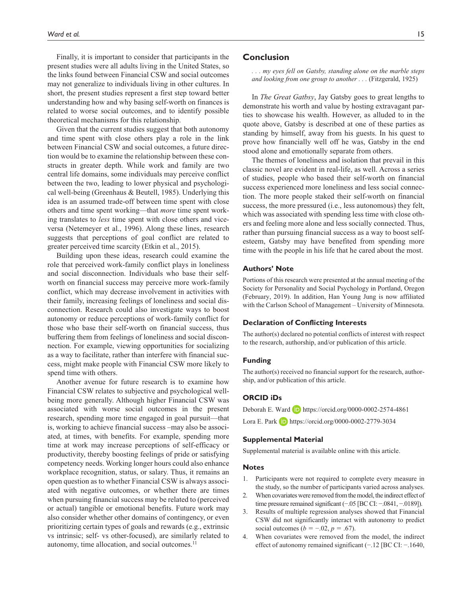Finally, it is important to consider that participants in the present studies were all adults living in the United States, so the links found between Financial CSW and social outcomes may not generalize to individuals living in other cultures. In short, the present studies represent a first step toward better understanding how and why basing self-worth on finances is related to worse social outcomes, and to identify possible theoretical mechanisms for this relationship.

Given that the current studies suggest that both autonomy and time spent with close others play a role in the link between Financial CSW and social outcomes, a future direction would be to examine the relationship between these constructs in greater depth. While work and family are two central life domains, some individuals may perceive conflict between the two, leading to lower physical and psychological well-being (Greenhaus & Beutell, 1985). Underlying this idea is an assumed trade-off between time spent with close others and time spent working—that *more* time spent working translates to *less* time spent with close others and viceversa (Netemeyer et al., 1996). Along these lines, research suggests that perceptions of goal conflict are related to greater perceived time scarcity (Etkin et al., 2015).

Building upon these ideas, research could examine the role that perceived work-family conflict plays in loneliness and social disconnection. Individuals who base their selfworth on financial success may perceive more work-family conflict, which may decrease involvement in activities with their family, increasing feelings of loneliness and social disconnection. Research could also investigate ways to boost autonomy or reduce perceptions of work-family conflict for those who base their self-worth on financial success, thus buffering them from feelings of loneliness and social disconnection. For example, viewing opportunities for socializing as a way to facilitate, rather than interfere with financial success, might make people with Financial CSW more likely to spend time with others.

Another avenue for future research is to examine how Financial CSW relates to subjective and psychological wellbeing more generally. Although higher Financial CSW was associated with worse social outcomes in the present research, spending more time engaged in goal pursuit—that is, working to achieve financial success –may also be associated, at times, with benefits. For example, spending more time at work may increase perceptions of self-efficacy or productivity, thereby boosting feelings of pride or satisfying competency needs. Working longer hours could also enhance workplace recognition, status, or salary. Thus, it remains an open question as to whether Financial CSW is always associated with negative outcomes, or whether there are times when pursuing financial success may be related to (perceived or actual) tangible or emotional benefits. Future work may also consider whether other domains of contingency, or even prioritizing certain types of goals and rewards (e.g., extrinsic vs intrinsic; self- vs other-focused), are similarly related to autonomy, time allocation, and social outcomes.<sup>11</sup>

# **Conclusion**

*. . . my eyes fell on Gatsby, standing alone on the marble steps and looking from one group to another . . .* (Fitzgerald, 1925)

In *The Great Gatbsy*, Jay Gatsby goes to great lengths to demonstrate his worth and value by hosting extravagant parties to showcase his wealth. However, as alluded to in the quote above, Gatsby is described at one of these parties as standing by himself, away from his guests. In his quest to prove how financially well off he was, Gatsby in the end stood alone and emotionally separate from others.

The themes of loneliness and isolation that prevail in this classic novel are evident in real-life, as well. Across a series of studies, people who based their self-worth on financial success experienced more loneliness and less social connection. The more people staked their self-worth on financial success, the more pressured (i.e., less autonomous) they felt, which was associated with spending less time with close others and feeling more alone and less socially connected. Thus, rather than pursuing financial success as a way to boost selfesteem, Gatsby may have benefited from spending more time with the people in his life that he cared about the most.

#### **Authors' Note**

Portions of this research were presented at the annual meeting of the Society for Personality and Social Psychology in Portland, Oregon (February, 2019). In addition, Han Young Jung is now affiliated with the Carlson School of Management – University of Minnesota.

#### **Declaration of Conflicting Interests**

The author(s) declared no potential conflicts of interest with respect to the research, authorship, and/or publication of this article.

#### **Funding**

The author(s) received no financial support for the research, authorship, and/or publication of this article.

# **ORCID iDs**

Deborah E. Ward **D** <https://orcid.org/0000-0002-2574-4861> Lora E. Park (D <https://orcid.org/0000-0002-2779-3034>

#### **Supplemental Material**

Supplemental material is available online with this article.

#### **Notes**

- 1. Participants were not required to complete every measure in the study, so the number of participants varied across analyses.
- 2. When covariates were removed from the model, the indirect effect of time pressure remained significant (−.05 [BC CI: −.0841, −.0189]).
- 3. Results of multiple regression analyses showed that Financial CSW did not significantly interact with autonomy to predict social outcomes ( $b = -0.02$ ,  $p = 0.67$ ).
- 4. When covariates were removed from the model, the indirect effect of autonomy remained significant (−.12 [BC CI: −.1640,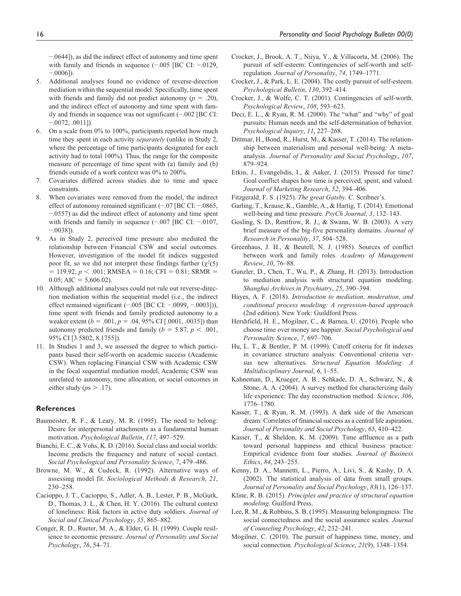−.0644]), as did the indirect effect of autonomy and time spent with family and friends in sequence (−.005 [BC CI: −.0129,

- −.0006]).
- 5. Additional analyses found no evidence of reverse-direction mediation within the sequential model. Specifically, time spent with friends and family did not predict autonomy  $(p = .20)$ , and the indirect effect of autonomy and time spent with family and friends in sequence was not significant (−.002 [BC CI: −.0072, .0011]).
- 6. On a scale from 0% to 100%, participants reported how much time they spent in each activity *separately* (unlike in Study 2, where the percentage of time participants designated for each activity had to total 100%). Thus, the range for the composite measure of percentage of time spent with (a) family and (b) friends outside of a work context was 0% to 200%.
- 7. Covariates differed across studies due to time and space constraints.
- 8. When covariates were removed from the model, the indirect effect of autonomy remained significant (−.07 [BC CI: −.0865, −.0557) as did the indirect effect of autonomy and time spent with friends and family in sequence (−.007 [BC CI: −.0107, −.0038]).
- 9. As in Study 2, perceived time pressure also mediated the relationship between Financial CSW and social outcomes. However, investigation of the model fit indices suggested poor fit, so we did not interpret these findings further  $(\chi^2(5))$  $= 119.92, p < .001$ ; RMSEA  $= 0.16$ ; CFI  $= 0.81$ ; SRMR  $=$  $0.05$ ; AIC = 5,606.02).
- 10. Although additional analyses could not rule out reverse-direction mediation within the sequential model (i.e., the indirect effect remained significant (−.005 [BC CI: −.0099, −.0003])), time spent with friends and family predicted autonomy to a weaker extent (*b* = .001, *p* = .04, 95% CI [.0001, .0035]) than autonomy predicted friends and family ( $b = 5.87$ ,  $p < .001$ , 95% CI [3.5802, 8.1755]).
- 11. In Studies 1 and 3, we assessed the degree to which participants based their self-worth on academic success (Academic CSW). When replacing Financial CSW with Academic CSW in the focal sequential mediation model, Academic CSW was unrelated to autonomy, time allocation, or social outcomes in either study ( $ps > .17$ ).

#### **References**

- Baumeister, R. F., & Leary, M. R. (1995). The need to belong: Desire for interpersonal attachments as a fundamental human motivation. *Psychological Bulletin*, *117*, 497–529.
- Bianchi, E. C., & Vohs, K. D. (2016). Social class and social worlds: Income predicts the frequency and nature of social contact. *Social Psychological and Personality Science*, *7*, 479–486.
- Browne, M. W., & Cudeck, R. (1992). Alternative ways of assessing model fit. *Sociological Methods & Research*, *21*, 230–258.
- Cacioppo, J. T., Cacioppo, S., Adler, A. B., Lester, P. B., McGurk, D., Thomas, J. L., & Chen, H. Y. (2016). The cultural context of loneliness: Risk factors in active duty soldiers. *Journal of Social and Clinical Psychology*, *35*, 865–882.
- Conger, R. D., Rueter, M. A., & Elder, G. H. (1999). Couple resilience to economic pressure. *Journal of Personality and Social Psychology*, *76*, 54–71.
- Crocker, J., Brook, A. T., Niiya, Y., & Villacorta, M. (2006). The pursuit of self-esteem: Contingencies of self-worth and selfregulation. *Journal of Personality*, *74*, 1749–1771.
- Crocker, J., & Park, L. E. (2004). The costly pursuit of self-esteem. *Psychological Bulletin*, *130*, 392–414.
- Crocker, J., & Wolfe, C. T. (2001). Contingencies of self-worth. *Psychological Review*, *108*, 593–623.
- Deci, E. L., & Ryan, R. M. (2000). The "what" and "why" of goal pursuits: Human needs and the self-determination of behavior. *Psychological Inquiry*, *11*, 227–268.
- Dittmar, H., Bond, R., Hurst, M., & Kasser, T. (2014). The relationship between materialism and personal well-being: A metaanalysis. *Journal of Personality and Social Psychology*, *107*, 879–924.
- Etkin, J., Evangelidis, I., & Aaker, J. (2015). Pressed for time? Goal conflict shapes how time is perceived, spent, and valued. *Journal of Marketing Research*, *52*, 394–406.
- Fitzgerald, F. S. (1925). *The great Gatsby*. C. Scribner's.
- Garling, T., Krause, K., Gamble, A., & Hartig, T. (2014). Emotional well-being and time pressure. *PsyCh Journal*, *3*, 132–143.
- Gosling, S. D., Rentfrow, R. J., & Swann, W. B. (2003). A very brief measure of the big-five personality domains. *Journal of Research in Personality*, *37*, 504–528.
- Greenhaus, J. H., & Beutell, N. J. (1985). Sources of conflict between work and family roles. *Academy of Management Review*, *10*, 76–88.
- Gunzler, D., Chen, T., Wu, P., & Zhang, H. (2013). Introduction to mediation analysis with structural equation modeling. *Shanghai Archives in Psychiatry*, *25*, 390–394.
- Hayes, A. F. (2018). *Introduction to mediation, moderation, and conditional process modeling: A regression-based approach*  (2nd edition). New York: Guildford Press.
- Hershfield, H. E., Mogilner, C., & Barnea, U. (2016). People who choose time over money are happier. *Social Psychological and Personality Science*, *7*, 697–706.
- Hu, L. T., & Bentler, P. M. (1999). Cutoff criteria for fit indexes in covariance structure analysis: Conventional criteria versus new alternatives. *Structural Equation Modeling: A Multidisciplinary Journal*, *6*, 1–55.
- Kahneman, D., Krueger, A. B., Schkade, D. A., Schwarz, N., & Stone, A. A. (2004). A survey method for characterizing daily life experience: The day reconstruction method. *Science*, *306*, 1776–1780.
- Kasser, T., & Ryan, R. M. (1993). A dark side of the American dream: Correlates of financial success as a central life aspiration. *Journal of Personality and Social Psychology*, *65*, 410–422.
- Kasser, T., & Sheldon, K. M. (2009). Time affluence as a path toward personal happiness and ethical business practice: Empirical evidence from four studies. *Journal of Business Ethics*, *84*, 243–255.
- Kenny, D. A., Mannetti, L., Pierro, A., Livi, S., & Kashy, D. A. (2002). The statistical analysis of data from small groups. *Journal of Personality and Social Psychology*, *83*(1), 126–137.
- Kline, R. B. (2015). *Principles and practice of structural equation modeling*. Guilford Press.
- Lee, R. M., & Robbins, S. B. (1995). Measuring belongingness: The social connectedness and the social assurance scales. *Journal of Counseling Psychology*, *42*, 232–241.
- Mogilner, C. (2010). The pursuit of happiness time, money, and social connection. *Psychological Science*, *21*(9), 1348–1354.